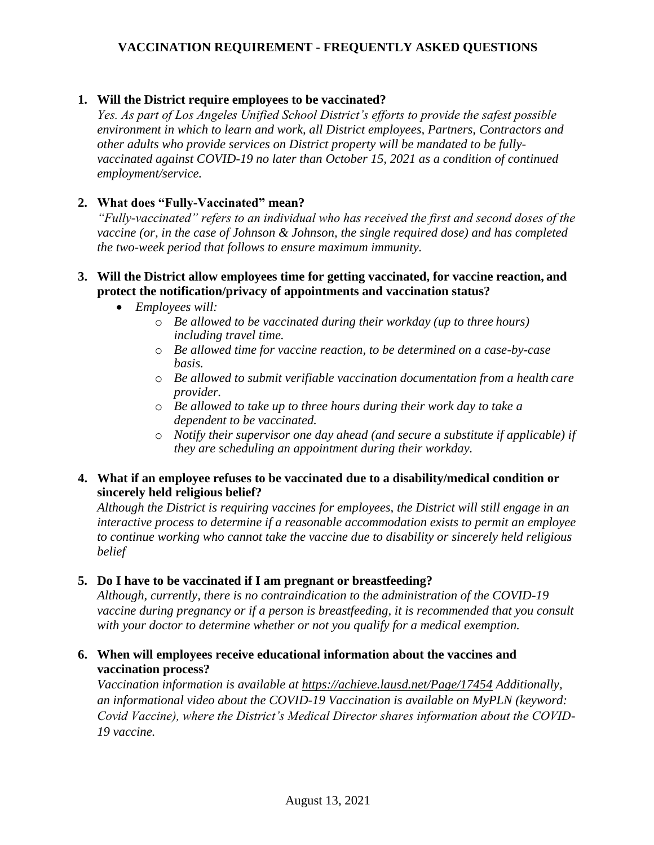# **VACCINATION REQUIREMENT - FREQUENTLY ASKED QUESTIONS**

## **1. Will the District require employees to be vaccinated?**

*Yes. As part of Los Angeles Unified School District's efforts to provide the safest possible environment in which to learn and work, all District employees, Partners, Contractors and other adults who provide services on District property will be mandated to be fullyvaccinated against COVID-19 no later than October 15, 2021 as a condition of continued employment/service.*

## **2. What does "Fully-Vaccinated" mean?**

*"Fully-vaccinated" refers to an individual who has received the first and second doses of the vaccine (or, in the case of Johnson & Johnson, the single required dose) and has completed the two-week period that follows to ensure maximum immunity.*

## **3. Will the District allow employees time for getting vaccinated, for vaccine reaction, and protect the notification/privacy of appointments and vaccination status?**

- *Employees will:*
	- o *Be allowed to be vaccinated during their workday (up to three hours) including travel time.*
	- o *Be allowed time for vaccine reaction, to be determined on a case-by-case basis.*
	- o *Be allowed to submit verifiable vaccination documentation from a health care provider.*
	- o *Be allowed to take up to three hours during their work day to take a dependent to be vaccinated.*
	- o *Notify their supervisor one day ahead (and secure a substitute if applicable) if they are scheduling an appointment during their workday.*

## **4. What if an employee refuses to be vaccinated due to a disability/medical condition or sincerely held religious belief?**

*Although the District is requiring vaccines for employees, the District will still engage in an interactive process to determine if a reasonable accommodation exists to permit an employee to continue working who cannot take the vaccine due to disability or sincerely held religious belief*

## **5. Do I have to be vaccinated if I am pregnant or breastfeeding?**

*Although, currently, there is no contraindication to the administration of the COVID-19 vaccine during pregnancy or if a person is breastfeeding, it is recommended that you consult with your doctor to determine whether or not you qualify for a medical exemption.*

## **6. When will employees receive educational information about the vaccines and vaccination process?**

*Vaccination information is available at https://achieve.lausd.net/Page/17454 Additionally, an informational video about the COVID-19 Vaccination is available on MyPLN (keyword: Covid Vaccine), where the District's Medical Director shares information about the COVID-19 vaccine.*